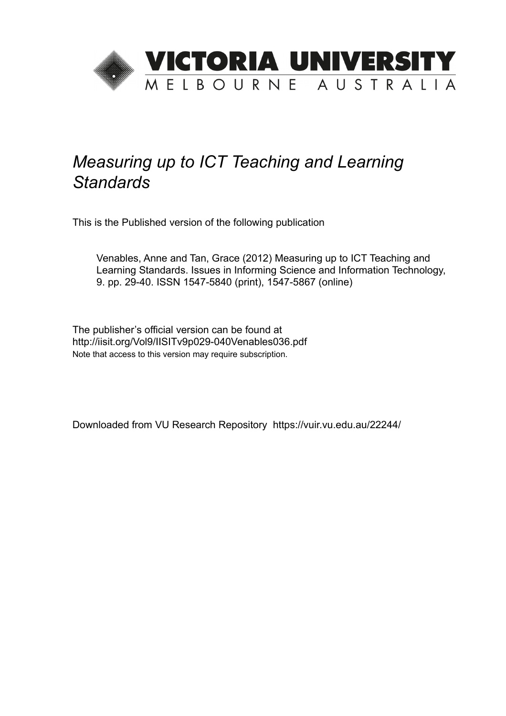

# *Measuring up to ICT Teaching and Learning Standards*

This is the Published version of the following publication

Venables, Anne and Tan, Grace (2012) Measuring up to ICT Teaching and Learning Standards. Issues in Informing Science and Information Technology, 9. pp. 29-40. ISSN 1547-5840 (print), 1547-5867 (online)

The publisher's official version can be found at http://iisit.org/Vol9/IISITv9p029-040Venables036.pdf Note that access to this version may require subscription.

Downloaded from VU Research Repository https://vuir.vu.edu.au/22244/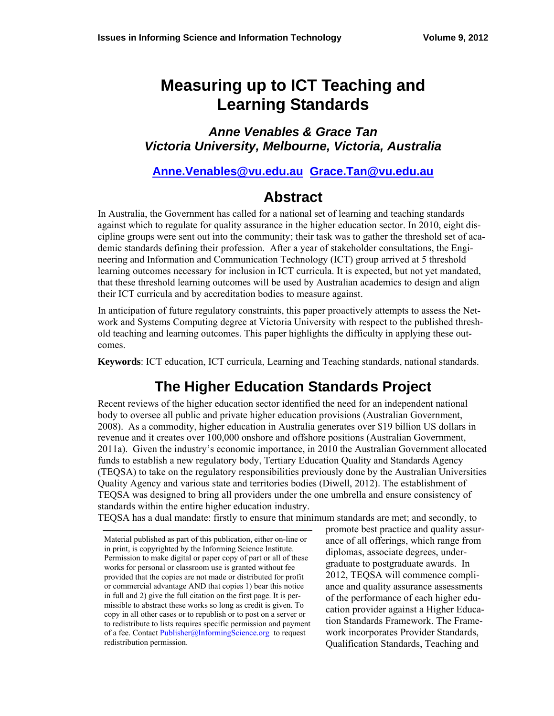# **Measuring up to ICT Teaching and Learning Standards**

*Anne Venables & Grace Tan Victoria University, Melbourne, Victoria, Australia* 

#### **[Anne.Venables@vu.edu.au](mailto:Author1Email@address.edu) [Grace.Tan@vu.edu.au](mailto:Author2Email@address.edu)**

### **Abstract**

In Australia, the Government has called for a national set of learning and teaching standards against which to regulate for quality assurance in the higher education sector. In 2010, eight discipline groups were sent out into the community; their task was to gather the threshold set of academic standards defining their profession. After a year of stakeholder consultations, the Engineering and Information and Communication Technology (ICT) group arrived at 5 threshold learning outcomes necessary for inclusion in ICT curricula. It is expected, but not yet mandated, that these threshold learning outcomes will be used by Australian academics to design and align their ICT curricula and by accreditation bodies to measure against.

In anticipation of future regulatory constraints, this paper proactively attempts to assess the Network and Systems Computing degree at Victoria University with respect to the published threshold teaching and learning outcomes. This paper highlights the difficulty in applying these outcomes.

**Keywords**: ICT education, ICT curricula, Learning and Teaching standards, national standards.

## **The Higher Education Standards Project**

Recent reviews of the higher education sector identified the need for an independent national body to oversee all public and private higher education provisions (Australian Government, 2008). As a commodity, higher education in Australia generates over \$19 billion US dollars in revenue and it creates over 100,000 onshore and offshore positions (Australian Government, 2011a). Given the industry's economic importance, in 2010 the Australian Government allocated funds to establish a new regulatory body, Tertiary Education Quality and Standards Agency (TEQSA) to take on the regulatory responsibilities previously done by the Australian Universities Quality Agency and various state and territories bodies (Diwell, 2012). The establishment of TEQSA was designed to bring all providers under the one umbrella and ensure consistency of standards within the entire higher education industry.

TEQSA has a dual mandate: firstly to ensure that minimum standards are met; and secondly, to

promote best practice and quality assurance of all offerings, which range from diplomas, associate degrees, undergraduate to postgraduate awards. In 2012, TEQSA will commence compliance and quality assurance assessments of the performance of each higher education provider against a Higher Education Standards Framework. The Framework incorporates Provider Standards, Qualification Standards, Teaching and

Material published as part of this publication, either on-line or in print, is copyrighted by the Informing Science Institute. Permission to make digital or paper copy of part or all of these works for personal or classroom use is granted without fee provided that the copies are not made or distributed for profit or commercial advantage AND that copies 1) bear this notice in full and 2) give the full citation on the first page. It is permissible to abstract these works so long as credit is given. To copy in all other cases or to republish or to post on a server or to redistribute to lists requires specific permission and payment of a fee. Contact [Publisher@InformingScience.org](mailto:Publisher@InformingScience.org) to request redistribution permission.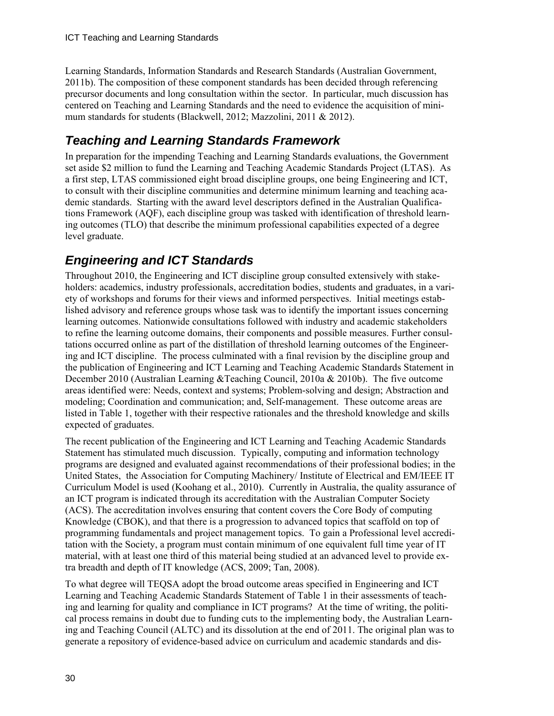Learning Standards, Information Standards and Research Standards (Australian Government, 2011b). The composition of these component standards has been decided through referencing precursor documents and long consultation within the sector. In particular, much discussion has centered on Teaching and Learning Standards and the need to evidence the acquisition of minimum standards for students (Blackwell, 2012; Mazzolini, 2011 & 2012).

### *Teaching and Learning Standards Framework*

In preparation for the impending Teaching and Learning Standards evaluations, the Government set aside \$2 million to fund the Learning and Teaching Academic Standards Project (LTAS). As a first step, LTAS commissioned eight broad discipline groups, one being Engineering and ICT, to consult with their discipline communities and determine minimum learning and teaching academic standards. Starting with the award level descriptors defined in the Australian Qualifications Framework (AQF), each discipline group was tasked with identification of threshold learning outcomes (TLO) that describe the minimum professional capabilities expected of a degree level graduate.

### *Engineering and ICT Standards*

Throughout 2010, the Engineering and ICT discipline group consulted extensively with stakeholders: academics, industry professionals, accreditation bodies, students and graduates, in a variety of workshops and forums for their views and informed perspectives. Initial meetings established advisory and reference groups whose task was to identify the important issues concerning learning outcomes. Nationwide consultations followed with industry and academic stakeholders to refine the learning outcome domains, their components and possible measures. Further consultations occurred online as part of the distillation of threshold learning outcomes of the Engineering and ICT discipline. The process culminated with a final revision by the discipline group and the publication of Engineering and ICT Learning and Teaching Academic Standards Statement in December 2010 (Australian Learning &Teaching Council, 2010a & 2010b). The five outcome areas identified were: Needs, context and systems; Problem-solving and design; Abstraction and modeling; Coordination and communication; and, Self-management. These outcome areas are listed in Table 1, together with their respective rationales and the threshold knowledge and skills expected of graduates.

The recent publication of the Engineering and ICT Learning and Teaching Academic Standards Statement has stimulated much discussion. Typically, computing and information technology programs are designed and evaluated against recommendations of their professional bodies; in the United States, the Association for Computing Machinery/ Institute of Electrical and EM/IEEE IT Curriculum Model is used (Koohang et al., 2010). Currently in Australia, the quality assurance of an ICT program is indicated through its accreditation with the Australian Computer Society (ACS). The accreditation involves ensuring that content covers the Core Body of computing Knowledge (CBOK), and that there is a progression to advanced topics that scaffold on top of programming fundamentals and project management topics. To gain a Professional level accreditation with the Society, a program must contain minimum of one equivalent full time year of IT material, with at least one third of this material being studied at an advanced level to provide extra breadth and depth of IT knowledge (ACS, 2009; Tan, 2008).

To what degree will TEQSA adopt the broad outcome areas specified in Engineering and ICT Learning and Teaching Academic Standards Statement of Table 1 in their assessments of teaching and learning for quality and compliance in ICT programs? At the time of writing, the political process remains in doubt due to funding cuts to the implementing body, the Australian Learning and Teaching Council (ALTC) and its dissolution at the end of 2011. The original plan was to generate a repository of evidence-based advice on curriculum and academic standards and dis-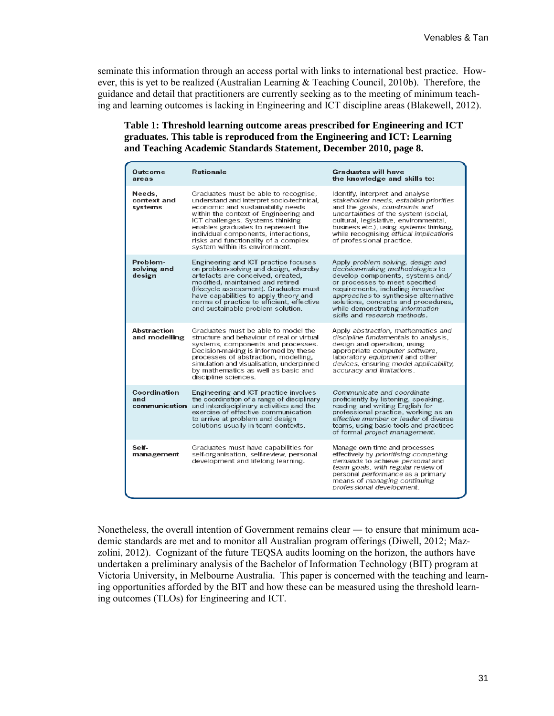seminate this information through an access portal with links to international best practice. However, this is yet to be realized (Australian Learning & Teaching Council, 2010b). Therefore, the guidance and detail that practitioners are currently seeking as to the meeting of minimum teaching and learning outcomes is lacking in Engineering and ICT discipline areas (Blakewell, 2012).

#### **Table 1: Threshold learning outcome areas prescribed for Engineering and ICT graduates. This table is reproduced from the Engineering and ICT: Learning and Teaching Academic Standards Statement, December 2010, page 8.**

| Outcome<br>areas                     | <b>Rationale</b>                                                                                                                                                                                                                                                                                                                                            | <b>Graduates will have</b><br>the knowledge and skills to:                                                                                                                                                                                                                                                                          |
|--------------------------------------|-------------------------------------------------------------------------------------------------------------------------------------------------------------------------------------------------------------------------------------------------------------------------------------------------------------------------------------------------------------|-------------------------------------------------------------------------------------------------------------------------------------------------------------------------------------------------------------------------------------------------------------------------------------------------------------------------------------|
| Needs.<br>context and<br>systems     | Graduates must be able to recognise,<br>understand and interpret socio-technical.<br>economic and sustainability needs<br>within the context of Engineering and<br>ICT challenges. Systems thinking<br>enables graduates to represent the<br>individual components, interactions,<br>risks and functionality of a complex<br>system within its environment. | Identify, interpret and analyse<br>stakeholder needs, establish priorities<br>and the goals, constraints and<br>uncertainties of the system (social,<br>cultural, legislative, environmental,<br>business etc.), using systems thinking,<br>while recognising ethical implications<br>of professional practice.                     |
| Problem-<br>solving and<br>design    | Engineering and ICT practice focuses<br>on problem-solving and design, whereby<br>artefacts are conceived, created,<br>modified, maintained and retired<br>(lifecycle assessment). Graduates must<br>have capabilities to apply theory and<br>norms of practice to efficient, effective<br>and sustainable problem solution.                                | Apply problem solving, design and<br>decision-making methodologies to<br>develop components, systems and/<br>or processes to meet specified<br>requirements, including innovative<br>approaches to synthesise alternative<br>solutions, concepts and procedures,<br>while demonstrating information<br>skills and research methods. |
| Abstraction<br>and modelling         | Graduates must be able to model the<br>structure and behaviour of real or virtual<br>systems, components and processes.<br>Decision-making is informed by these<br>processes of abstraction, modelling,<br>simulation and visualisation, underpinned<br>by mathematics as well as basic and<br>discipline sciences.                                         | Apply abstraction, mathematics and<br>discipline fundamentals to analysis,<br>design and operation, using<br>appropriate computer software.<br>laboratory equipment and other<br>devices, ensuring model applicability,<br>accuracy and limitations.                                                                                |
| Coordination<br>and<br>communication | Engineering and ICT practice involves<br>the coordination of a range of disciplinary<br>and interdisciplinary activities and the<br>exercise of effective communication<br>to arrive at problem and design<br>solutions usually in team contexts.                                                                                                           | Communicate and coordinate<br>proficiently by listening, speaking,<br>reading and writing English for<br>professional practice, working as an<br>effective member or leader of diverse<br>teams, using basic tools and practices<br>of formal project management.                                                                   |
| Self-<br>management                  | Graduates must have capabilities for<br>self-organisation, self-review, personal<br>development and lifelong learning.                                                                                                                                                                                                                                      | Manage own time and processes<br>effectively by prioritising competing<br>demands to achieve personal and<br>team goals, with regular review of<br>personal performance as a primary<br>means of managing continuing<br>professional development.                                                                                   |

Nonetheless, the overall intention of Government remains clear — to ensure that minimum academic standards are met and to monitor all Australian program offerings (Diwell, 2012; Mazzolini, 2012). Cognizant of the future TEQSA audits looming on the horizon, the authors have undertaken a preliminary analysis of the Bachelor of Information Technology (BIT) program at Victoria University, in Melbourne Australia. This paper is concerned with the teaching and learning opportunities afforded by the BIT and how these can be measured using the threshold learning outcomes (TLOs) for Engineering and ICT.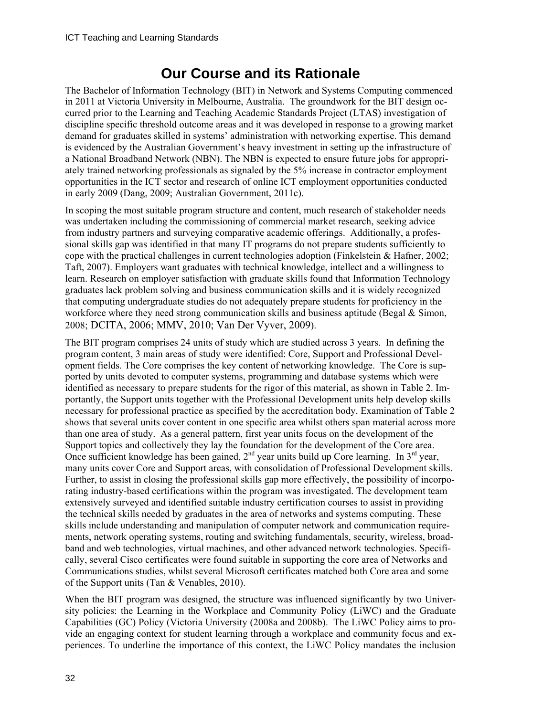# **Our Course and its Rationale**

The Bachelor of Information Technology (BIT) in Network and Systems Computing commenced in 2011 at Victoria University in Melbourne, Australia. The groundwork for the BIT design occurred prior to the Learning and Teaching Academic Standards Project (LTAS) investigation of discipline specific threshold outcome areas and it was developed in response to a growing market demand for graduates skilled in systems' administration with networking expertise. This demand is evidenced by the Australian Government's heavy investment in setting up the infrastructure of a National Broadband Network (NBN). The NBN is expected to ensure future jobs for appropriately trained networking professionals as signaled by the 5% increase in contractor employment opportunities in the ICT sector and research of online ICT employment opportunities conducted in early 2009 (Dang, 2009; Australian Government, 2011c).

In scoping the most suitable program structure and content, much research of stakeholder needs was undertaken including the commissioning of commercial market research, seeking advice from industry partners and surveying comparative academic offerings. Additionally, a professional skills gap was identified in that many IT programs do not prepare students sufficiently to cope with the practical challenges in current technologies adoption (Finkelstein & Hafner, 2002; Taft, 2007). Employers want graduates with technical knowledge, intellect and a willingness to learn. Research on employer satisfaction with graduate skills found that Information Technology graduates lack problem solving and business communication skills and it is widely recognized that computing undergraduate studies do not adequately prepare students for proficiency in the workforce where they need strong communication skills and business aptitude (Begal & Simon, 2008; DCITA, 2006; MMV, 2010; Van Der Vyver, 2009).

The BIT program comprises 24 units of study which are studied across 3 years. In defining the program content, 3 main areas of study were identified: Core, Support and Professional Development fields. The Core comprises the key content of networking knowledge. The Core is supported by units devoted to computer systems, programming and database systems which were identified as necessary to prepare students for the rigor of this material, as shown in Table 2. Importantly, the Support units together with the Professional Development units help develop skills necessary for professional practice as specified by the accreditation body. Examination of Table 2 shows that several units cover content in one specific area whilst others span material across more than one area of study. As a general pattern, first year units focus on the development of the Support topics and collectively they lay the foundation for the development of the Core area. Once sufficient knowledge has been gained,  $2<sup>nd</sup>$  year units build up Core learning. In  $3<sup>rd</sup>$  year, many units cover Core and Support areas, with consolidation of Professional Development skills. Further, to assist in closing the professional skills gap more effectively, the possibility of incorporating industry-based certifications within the program was investigated. The development team extensively surveyed and identified suitable industry certification courses to assist in providing the technical skills needed by graduates in the area of networks and systems computing. These skills include understanding and manipulation of computer network and communication requirements, network operating systems, routing and switching fundamentals, security, wireless, broadband and web technologies, virtual machines, and other advanced network technologies. Specifically, several Cisco certificates were found suitable in supporting the core area of Networks and Communications studies, whilst several Microsoft certificates matched both Core area and some of the Support units (Tan & Venables, 2010).

When the BIT program was designed, the structure was influenced significantly by two University policies: the Learning in the Workplace and Community Policy (LiWC) and the Graduate Capabilities (GC) Policy (Victoria University (2008a and 2008b). The LiWC Policy aims to provide an engaging context for student learning through a workplace and community focus and experiences. To underline the importance of this context, the LiWC Policy mandates the inclusion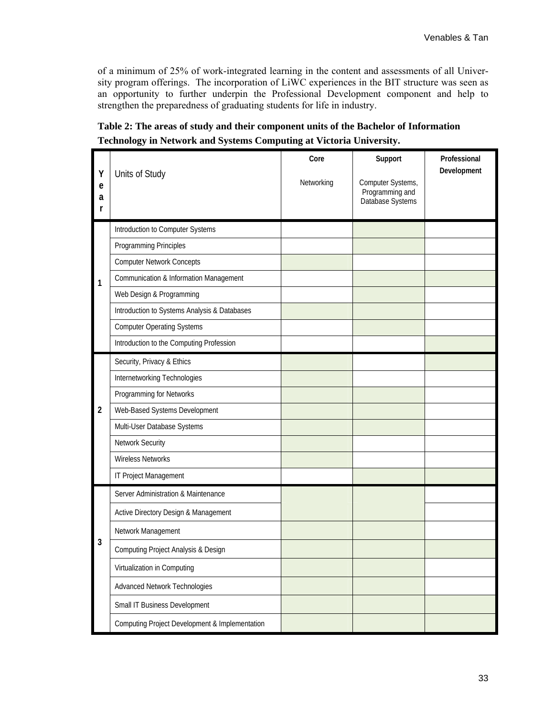of a minimum of 25% of work-integrated learning in the content and assessments of all University program offerings. The incorporation of LiWC experiences in the BIT structure was seen as an opportunity to further underpin the Professional Development component and help to strengthen the preparedness of graduating students for life in industry.

| Y<br>e<br>a<br>r | Units of Study                                            | Core<br>Networking | Support<br>Computer Systems,<br>Programming and<br>Database Systems | Professional<br>Development |
|------------------|-----------------------------------------------------------|--------------------|---------------------------------------------------------------------|-----------------------------|
|                  | Introduction to Computer Systems                          |                    |                                                                     |                             |
|                  | Programming Principles                                    |                    |                                                                     |                             |
|                  | <b>Computer Network Concepts</b>                          |                    |                                                                     |                             |
| 1                | <b>Communication &amp; Information Management</b>         |                    |                                                                     |                             |
|                  | Web Design & Programming                                  |                    |                                                                     |                             |
|                  | Introduction to Systems Analysis & Databases              |                    |                                                                     |                             |
|                  | <b>Computer Operating Systems</b>                         |                    |                                                                     |                             |
|                  | Introduction to the Computing Profession                  |                    |                                                                     |                             |
|                  | Security, Privacy & Ethics                                |                    |                                                                     |                             |
|                  | Internetworking Technologies                              |                    |                                                                     |                             |
|                  | Programming for Networks                                  |                    |                                                                     |                             |
| $\overline{2}$   | Web-Based Systems Development                             |                    |                                                                     |                             |
|                  | Multi-User Database Systems                               |                    |                                                                     |                             |
|                  | Network Security                                          |                    |                                                                     |                             |
|                  | <b>Wireless Networks</b>                                  |                    |                                                                     |                             |
|                  | IT Project Management                                     |                    |                                                                     |                             |
|                  | Server Administration & Maintenance                       |                    |                                                                     |                             |
|                  | Active Directory Design & Management                      |                    |                                                                     |                             |
|                  | Network Management                                        |                    |                                                                     |                             |
| 3                | <b>Computing Project Analysis &amp; Design</b>            |                    |                                                                     |                             |
|                  | Virtualization in Computing                               |                    |                                                                     |                             |
|                  | Advanced Network Technologies                             |                    |                                                                     |                             |
|                  | Small IT Business Development                             |                    |                                                                     |                             |
|                  | <b>Computing Project Development &amp; Implementation</b> |                    |                                                                     |                             |

**Table 2: The areas of study and their component units of the Bachelor of Information Technology in Network and Systems Computing at Victoria University.**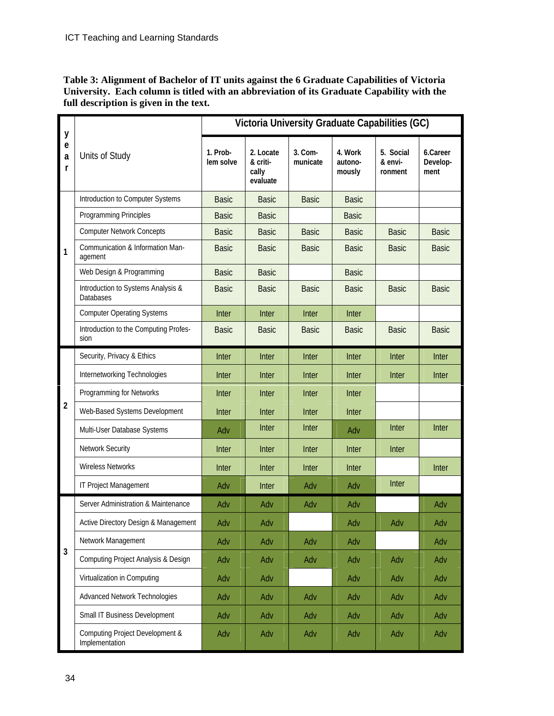**Table 3: Alignment of Bachelor of IT units against the 6 Graduate Capabilities of Victoria University. Each column is titled with an abbreviation of its Graduate Capability with the full description is given in the text.** 

| y                     |                                                        | Victoria University Graduate Capabilities (GC) |                                            |                       |                              |                                 |                              |
|-----------------------|--------------------------------------------------------|------------------------------------------------|--------------------------------------------|-----------------------|------------------------------|---------------------------------|------------------------------|
| $\mathbf e$<br>a<br>r | Units of Study                                         | 1. Prob-<br>lem solve                          | 2. Locate<br>& criti-<br>cally<br>evaluate | $3.$ Com-<br>municate | 4. Work<br>autono-<br>mously | 5. Social<br>& envi-<br>ronment | 6.Career<br>Develop-<br>ment |
|                       | Introduction to Computer Systems                       | <b>Basic</b>                                   | <b>Basic</b>                               | <b>Basic</b>          | <b>Basic</b>                 |                                 |                              |
|                       | Programming Principles                                 | <b>Basic</b>                                   | <b>Basic</b>                               |                       | <b>Basic</b>                 |                                 |                              |
|                       | <b>Computer Network Concepts</b>                       | <b>Basic</b>                                   | <b>Basic</b>                               | <b>Basic</b>          | <b>Basic</b>                 | <b>Basic</b>                    | <b>Basic</b>                 |
| 1                     | Communication & Information Man-<br>agement            | <b>Basic</b>                                   | <b>Basic</b>                               | <b>Basic</b>          | <b>Basic</b>                 | <b>Basic</b>                    | <b>Basic</b>                 |
|                       | Web Design & Programming                               | <b>Basic</b>                                   | <b>Basic</b>                               |                       | <b>Basic</b>                 |                                 |                              |
|                       | Introduction to Systems Analysis &<br><b>Databases</b> | <b>Basic</b>                                   | <b>Basic</b>                               | <b>Basic</b>          | <b>Basic</b>                 | <b>Basic</b>                    | <b>Basic</b>                 |
|                       | <b>Computer Operating Systems</b>                      | Inter                                          | Inter                                      | Inter                 | Inter                        |                                 |                              |
|                       | Introduction to the Computing Profes-<br>sion          | <b>Basic</b>                                   | <b>Basic</b>                               | <b>Basic</b>          | <b>Basic</b>                 | <b>Basic</b>                    | <b>Basic</b>                 |
|                       | Security, Privacy & Ethics                             | Inter                                          | <b>Inter</b>                               | <b>Inter</b>          | Inter                        | Inter                           | Inter                        |
|                       | Internetworking Technologies                           | Inter                                          | Inter                                      | Inter                 | Inter                        | Inter                           | <b>Inter</b>                 |
|                       | Programming for Networks                               | Inter                                          | Inter                                      | Inter                 | Inter                        |                                 |                              |
| $\overline{2}$        | Web-Based Systems Development                          | Inter                                          | Inter                                      | <b>Inter</b>          | Inter                        |                                 |                              |
|                       | Multi-User Database Systems                            | Adv                                            | Inter                                      | Inter                 | Adv                          | Inter                           | Inter                        |
|                       | Network Security                                       | Inter                                          | Inter                                      | Inter                 | Inter                        | Inter                           |                              |
|                       | <b>Wireless Networks</b>                               | Inter                                          | Inter                                      | <b>Inter</b>          | Inter                        |                                 | Inter                        |
|                       | IT Project Management                                  | Adv                                            | Inter                                      | Adv                   | Adv                          | Inter                           |                              |
|                       | Server Administration & Maintenance                    | Adv                                            | Adv                                        | Adv                   | Adv                          |                                 | Adv                          |
|                       | Active Directory Design & Management                   | Adv                                            | Adv                                        |                       | Adv                          | Adv                             | Adv                          |
|                       | Network Management                                     | Adv                                            | Adv                                        | Adv                   | Adv                          |                                 | Adv                          |
| $\overline{3}$        | <b>Computing Project Analysis &amp; Design</b>         | Adv                                            | Adv                                        | Adv                   | Adv                          | Adv                             | Adv                          |
|                       | Virtualization in Computing                            | Adv                                            | Adv                                        |                       | Adv                          | Adv                             | Adv                          |
|                       | <b>Advanced Network Technologies</b>                   | Adv                                            | Adv                                        | Adv                   | Adv                          | Adv                             | Adv                          |
|                       | Small IT Business Development                          | Adv                                            | Adv                                        | Adv                   | Adv                          | Adv                             | Adv                          |
|                       | Computing Project Development &<br>Implementation      | Adv                                            | Adv                                        | Adv                   | Adv                          | Adv                             | Adv                          |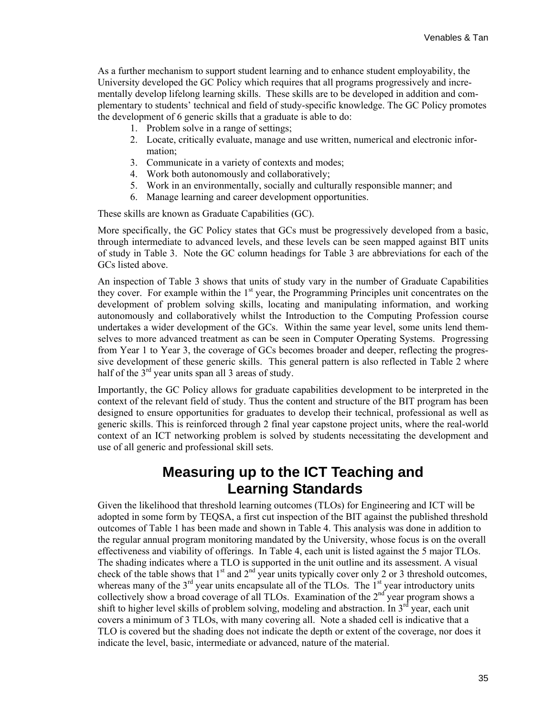As a further mechanism to support student learning and to enhance student employability, the University developed the GC Policy which requires that all programs progressively and incrementally develop lifelong learning skills. These skills are to be developed in addition and complementary to students' technical and field of study-specific knowledge. The GC Policy promotes the development of 6 generic skills that a graduate is able to do:

- 1. Problem solve in a range of settings;
- 2. Locate, critically evaluate, manage and use written, numerical and electronic information;
- 3. Communicate in a variety of contexts and modes;
- 4. Work both autonomously and collaboratively;
- 5. Work in an environmentally, socially and culturally responsible manner; and
- 6. Manage learning and career development opportunities.

These skills are known as Graduate Capabilities (GC).

More specifically, the GC Policy states that GCs must be progressively developed from a basic, through intermediate to advanced levels, and these levels can be seen mapped against BIT units of study in Table 3. Note the GC column headings for Table 3 are abbreviations for each of the GCs listed above.

An inspection of Table 3 shows that units of study vary in the number of Graduate Capabilities they cover. For example within the 1<sup>st</sup> year, the Programming Principles unit concentrates on the development of problem solving skills, locating and manipulating information, and working autonomously and collaboratively whilst the Introduction to the Computing Profession course undertakes a wider development of the GCs. Within the same year level, some units lend themselves to more advanced treatment as can be seen in Computer Operating Systems. Progressing from Year 1 to Year 3, the coverage of GCs becomes broader and deeper, reflecting the progressive development of these generic skills. This general pattern is also reflected in Table 2 where half of the  $3<sup>rd</sup>$  year units span all 3 areas of study.

Importantly, the GC Policy allows for graduate capabilities development to be interpreted in the context of the relevant field of study. Thus the content and structure of the BIT program has been designed to ensure opportunities for graduates to develop their technical, professional as well as generic skills. This is reinforced through 2 final year capstone project units, where the real-world context of an ICT networking problem is solved by students necessitating the development and use of all generic and professional skill sets.

### **Measuring up to the ICT Teaching and Learning Standards**

Given the likelihood that threshold learning outcomes (TLOs) for Engineering and ICT will be adopted in some form by TEQSA, a first cut inspection of the BIT against the published threshold outcomes of Table 1 has been made and shown in Table 4. This analysis was done in addition to the regular annual program monitoring mandated by the University, whose focus is on the overall effectiveness and viability of offerings. In Table 4, each unit is listed against the 5 major TLOs. The shading indicates where a TLO is supported in the unit outline and its assessment. A visual check of the table shows that  $1<sup>st</sup>$  and  $2<sup>nd</sup>$  year units typically cover only 2 or 3 threshold outcomes, whereas many of the  $3<sup>rd</sup>$  year units encapsulate all of the TLOs. The  $1<sup>st</sup>$  year introductory units collectively show a broad coverage of all TLOs. Examination of the  $2<sup>nd</sup>$  year program shows a shift to higher level skills of problem solving, modeling and abstraction. In  $3^{rd}$  year, each unit covers a minimum of 3 TLOs, with many covering all. Note a shaded cell is indicative that a TLO is covered but the shading does not indicate the depth or extent of the coverage, nor does it indicate the level, basic, intermediate or advanced, nature of the material.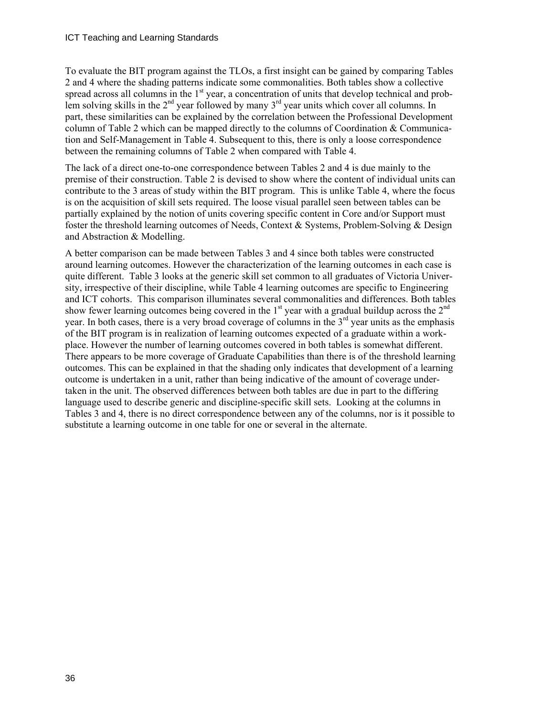To evaluate the BIT program against the TLOs, a first insight can be gained by comparing Tables 2 and 4 where the shading patterns indicate some commonalities. Both tables show a collective spread across all columns in the  $1<sup>st</sup>$  year, a concentration of units that develop technical and problem solving skills in the  $2<sup>nd</sup>$  year followed by many  $3<sup>rd</sup>$  year units which cover all columns. In part, these similarities can be explained by the correlation between the Professional Development column of Table 2 which can be mapped directly to the columns of Coordination & Communication and Self-Management in Table 4. Subsequent to this, there is only a loose correspondence between the remaining columns of Table 2 when compared with Table 4.

The lack of a direct one-to-one correspondence between Tables 2 and 4 is due mainly to the premise of their construction. Table 2 is devised to show where the content of individual units can contribute to the 3 areas of study within the BIT program. This is unlike Table 4, where the focus is on the acquisition of skill sets required. The loose visual parallel seen between tables can be partially explained by the notion of units covering specific content in Core and/or Support must foster the threshold learning outcomes of Needs, Context & Systems, Problem-Solving & Design and Abstraction & Modelling.

A better comparison can be made between Tables 3 and 4 since both tables were constructed around learning outcomes. However the characterization of the learning outcomes in each case is quite different. Table 3 looks at the generic skill set common to all graduates of Victoria University, irrespective of their discipline, while Table 4 learning outcomes are specific to Engineering and ICT cohorts. This comparison illuminates several commonalities and differences. Both tables show fewer learning outcomes being covered in the  $1<sup>st</sup>$  year with a gradual buildup across the  $2<sup>nd</sup>$ year. In both cases, there is a very broad coverage of columns in the  $3<sup>rd</sup>$  year units as the emphasis of the BIT program is in realization of learning outcomes expected of a graduate within a workplace. However the number of learning outcomes covered in both tables is somewhat different. There appears to be more coverage of Graduate Capabilities than there is of the threshold learning outcomes. This can be explained in that the shading only indicates that development of a learning outcome is undertaken in a unit, rather than being indicative of the amount of coverage undertaken in the unit. The observed differences between both tables are due in part to the differing language used to describe generic and discipline-specific skill sets. Looking at the columns in Tables 3 and 4, there is no direct correspondence between any of the columns, nor is it possible to substitute a learning outcome in one table for one or several in the alternate.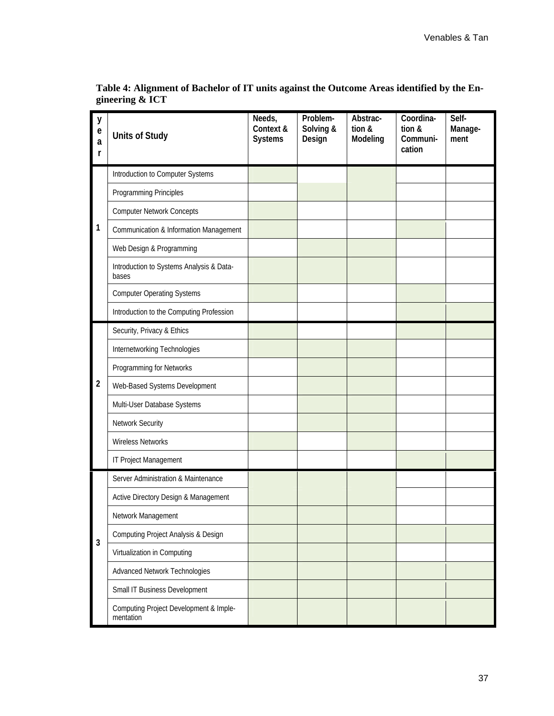| y<br>$\mathbf e$<br>a<br>r | <b>Units of Study</b>                               | Needs,<br>Context &<br><b>Systems</b> | Problem-<br>Solving &<br>Design | Abstrac-<br>tion &<br>Modeling | Coordina-<br>tion &<br>Communi-<br>cation | Self-<br>Manage-<br>ment |
|----------------------------|-----------------------------------------------------|---------------------------------------|---------------------------------|--------------------------------|-------------------------------------------|--------------------------|
|                            | Introduction to Computer Systems                    |                                       |                                 |                                |                                           |                          |
|                            | Programming Principles                              |                                       |                                 |                                |                                           |                          |
|                            | <b>Computer Network Concepts</b>                    |                                       |                                 |                                |                                           |                          |
| 1                          | <b>Communication &amp; Information Management</b>   |                                       |                                 |                                |                                           |                          |
|                            | Web Design & Programming                            |                                       |                                 |                                |                                           |                          |
|                            | Introduction to Systems Analysis & Data-<br>bases   |                                       |                                 |                                |                                           |                          |
|                            | <b>Computer Operating Systems</b>                   |                                       |                                 |                                |                                           |                          |
|                            | Introduction to the Computing Profession            |                                       |                                 |                                |                                           |                          |
|                            | Security, Privacy & Ethics                          |                                       |                                 |                                |                                           |                          |
|                            | Internetworking Technologies                        |                                       |                                 |                                |                                           |                          |
|                            | Programming for Networks                            |                                       |                                 |                                |                                           |                          |
| $\overline{2}$             | Web-Based Systems Development                       |                                       |                                 |                                |                                           |                          |
|                            | Multi-User Database Systems                         |                                       |                                 |                                |                                           |                          |
|                            | Network Security                                    |                                       |                                 |                                |                                           |                          |
|                            | <b>Wireless Networks</b>                            |                                       |                                 |                                |                                           |                          |
|                            | IT Project Management                               |                                       |                                 |                                |                                           |                          |
|                            | Server Administration & Maintenance                 |                                       |                                 |                                |                                           |                          |
|                            | Active Directory Design & Management                |                                       |                                 |                                |                                           |                          |
|                            | Network Management                                  |                                       |                                 |                                |                                           |                          |
| $\mathbf{3}$               | <b>Computing Project Analysis &amp; Design</b>      |                                       |                                 |                                |                                           |                          |
|                            | Virtualization in Computing                         |                                       |                                 |                                |                                           |                          |
|                            | Advanced Network Technologies                       |                                       |                                 |                                |                                           |                          |
|                            | Small IT Business Development                       |                                       |                                 |                                |                                           |                          |
|                            | Computing Project Development & Imple-<br>mentation |                                       |                                 |                                |                                           |                          |

**Table 4: Alignment of Bachelor of IT units against the Outcome Areas identified by the Engineering & ICT**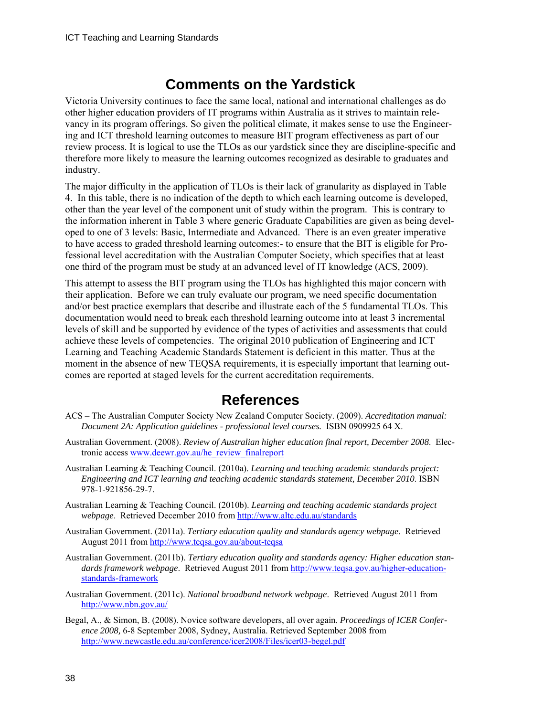### **Comments on the Yardstick**

Victoria University continues to face the same local, national and international challenges as do other higher education providers of IT programs within Australia as it strives to maintain relevancy in its program offerings. So given the political climate, it makes sense to use the Engineering and ICT threshold learning outcomes to measure BIT program effectiveness as part of our review process. It is logical to use the TLOs as our yardstick since they are discipline-specific and therefore more likely to measure the learning outcomes recognized as desirable to graduates and industry.

The major difficulty in the application of TLOs is their lack of granularity as displayed in Table 4. In this table, there is no indication of the depth to which each learning outcome is developed, other than the year level of the component unit of study within the program. This is contrary to the information inherent in Table 3 where generic Graduate Capabilities are given as being developed to one of 3 levels: Basic, Intermediate and Advanced. There is an even greater imperative to have access to graded threshold learning outcomes:- to ensure that the BIT is eligible for Professional level accreditation with the Australian Computer Society, which specifies that at least one third of the program must be study at an advanced level of IT knowledge (ACS, 2009).

This attempt to assess the BIT program using the TLOs has highlighted this major concern with their application. Before we can truly evaluate our program, we need specific documentation and/or best practice exemplars that describe and illustrate each of the 5 fundamental TLOs. This documentation would need to break each threshold learning outcome into at least 3 incremental levels of skill and be supported by evidence of the types of activities and assessments that could achieve these levels of competencies. The original 2010 publication of Engineering and ICT Learning and Teaching Academic Standards Statement is deficient in this matter. Thus at the moment in the absence of new TEQSA requirements, it is especially important that learning outcomes are reported at staged levels for the current accreditation requirements.

### **References**

- ACS The Australian Computer Society New Zealand Computer Society. (2009). *Accreditation manual: Document 2A: Application guidelines - professional level courses.* ISBN 0909925 64 X.
- Australian Government. (2008). *Review of Australian higher education final report, December 2008*. Electronic access [www.deewr.gov.au/he\\_review\\_finalreport](http://www.deewr.gov.au/he_review_finalreport)
- Australian Learning & Teaching Council. (2010a). *Learning and teaching academic standards project: Engineering and ICT learning and teaching academic standards statement, December 2010*. ISBN 978-1-921856-29-7.
- Australian Learning & Teaching Council. (2010b). *Learning and teaching academic standards project webpage*. Retrieved December 2010 from<http://www.altc.edu.au/standards>
- Australian Government. (2011a). *Tertiary education quality and standards agency webpage*. Retrieved August 2011 from <http://www.teqsa.gov.au/about-teqsa>
- Australian Government. (2011b). *Tertiary education quality and standards agency: Higher education standards framework webpage*. Retrieved August 2011 from [http://www.teqsa.gov.au/higher-education](http://www.teqsa.gov.au/higher-education-standards-framework)[standards-framework](http://www.teqsa.gov.au/higher-education-standards-framework)
- Australian Government. (2011c). *National broadband network webpage*. Retrieved August 2011 from <http://www.nbn.gov.au/>
- Begal, A., & Simon, B. (2008). Novice software developers, all over again. *Proceedings of ICER Conference 2008,* 6-8 September 2008, Sydney, Australia. Retrieved September 2008 from <http://www.newcastle.edu.au/conference/icer2008/Files/icer03-begel.pdf>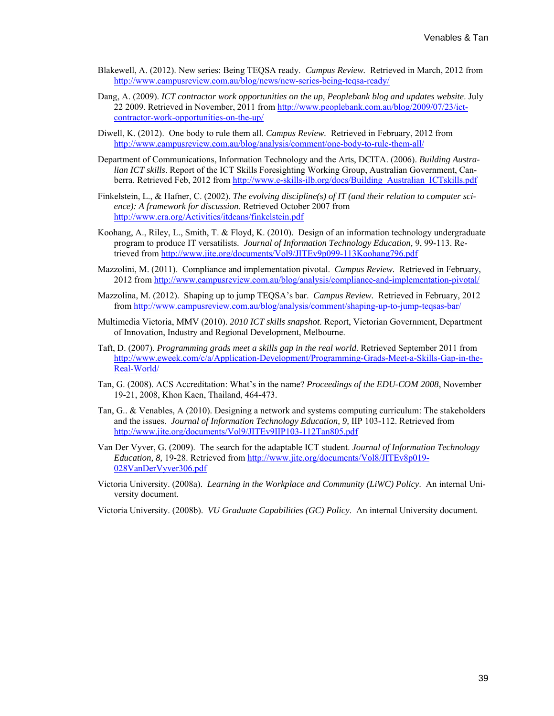- Blakewell, A. (2012). New series: Being TEQSA ready. *Campus Review.* Retrieved in March, 2012 from <http://www.campusreview.com.au/blog/news/new-series-being-teqsa-ready/>
- Dang, A. (2009). *ICT contractor work opportunities on the up, Peoplebank blog and updates website*. July 22 2009. Retrieved in November, 2011 from [http://www.peoplebank.com.au/blog/2009/07/23/ict](http://www.peoplebank.com.au/blog/2009/07/23/ict-contractor-work-opportunities-on-the-up/)[contractor-work-opportunities-on-the-up/](http://www.peoplebank.com.au/blog/2009/07/23/ict-contractor-work-opportunities-on-the-up/)
- Diwell, K. (2012). One body to rule them all. *Campus Review.* Retrieved in February, 2012 from <http://www.campusreview.com.au/blog/analysis/comment/one-body-to-rule-them-all/>
- Department of Communications, Information Technology and the Arts, DCITA. (2006). *Building Australian ICT skills*. Report of the ICT Skills Foresighting Working Group, Australian Government, Canberra. Retrieved Feb, 2012 from [http://www.e-skills-ilb.org/docs/Building\\_Australian\\_ICTskills.pdf](http://www.e-skills-ilb.org/docs/Building_Australian_ICTskills.pdf)
- Finkelstein, L., & Hafner, C. (2002). *The evolving discipline(s) of IT (and their relation to computer science): A framework for discussion*. Retrieved October 2007 from <http://www.cra.org/Activities/itdeans/finkelstein.pdf>
- Koohang, A., Riley, L., Smith, T. & Floyd, K. (2010). Design of an information technology undergraduate program to produce IT versatilists. *Journal of Information Technology Education,* 9, 99-113. Retrieved from<http://www.jite.org/documents/Vol9/JITEv9p099-113Koohang796.pdf>
- Mazzolini, M. (2011). Compliance and implementation pivotal. *Campus Review.* Retrieved in February, 2012 from<http://www.campusreview.com.au/blog/analysis/compliance-and-implementation-pivotal/>
- Mazzolina, M. (2012). Shaping up to jump TEQSA's bar. *Campus Review.* Retrieved in February, 2012 from <http://www.campusreview.com.au/blog/analysis/comment/shaping-up-to-jump-teqsas-bar/>
- Multimedia Victoria, MMV (2010). *2010 ICT skills snapshot*. Report, Victorian Government, Department of Innovation, Industry and Regional Development, Melbourne.
- Taft, D. (2007). *Programming grads meet a skills gap in the real world*. Retrieved September 2011 from [http://www.eweek.com/c/a/Application-Development/Programming-Grads-Meet-a-Skills-Gap-in-the-](http://www.eweek.com/c/a/Application-Development/Programming-Grads-Meet-a-Skills-Gap-in-the-Real-World/)[Real-World/](http://www.eweek.com/c/a/Application-Development/Programming-Grads-Meet-a-Skills-Gap-in-the-Real-World/)
- Tan, G. (2008). ACS Accreditation: What's in the name? *Proceedings of the EDU-COM 2008*, November 19-21, 2008, Khon Kaen, Thailand, 464-473.
- Tan, G.. & Venables, A (2010). Designing a network and systems computing curriculum: The stakeholders and the issues. *Journal of Information Technology Education, 9,* IIP 103-112. Retrieved from <http://www.jite.org/documents/Vol9/JITEv9IIP103-112Tan805.pdf>
- Van Der Vyver, G. (2009). The search for the adaptable ICT student. *Journal of Information Technology Education, 8,* 19-28. Retrieved from [http://www.jite.org/documents/Vol8/JITEv8p019-](http://www.jite.org/documents/Vol8/JITEv8p019-028VanDerVyver306.pdf) [028VanDerVyver306.pdf](http://www.jite.org/documents/Vol8/JITEv8p019-028VanDerVyver306.pdf)
- Victoria University. (2008a). *Learning in the Workplace and Community (LiWC) Policy*. An internal University document.
- Victoria University. (2008b). *VU Graduate Capabilities (GC) Policy*. An internal University document.